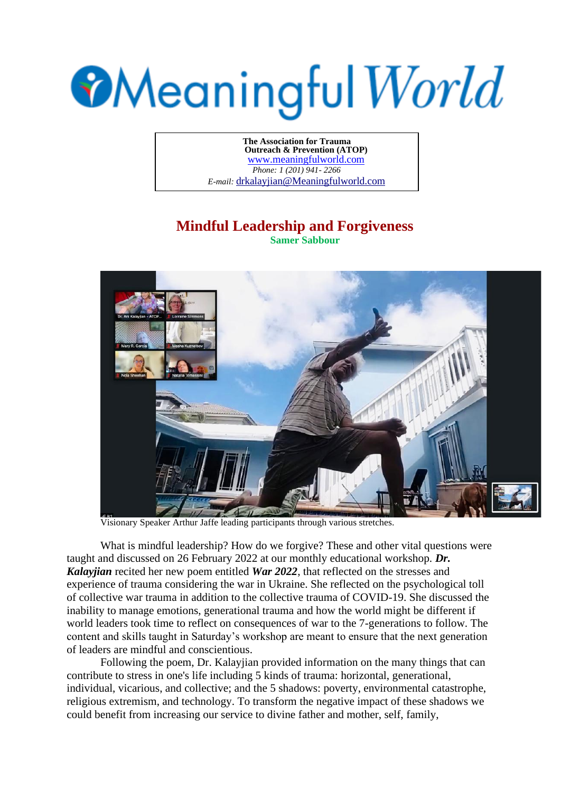## **Meaningful World**

**The Association for Trauma Outreach & Prevention (ATOP)**  www.meaningfulworld.com *Phone: 1 (201) 941- 2266 E-mail:* drkalayjian@Meaningfulworld.com

## **Mindful Leadership and Forgiveness**

**Samer Sabbour**



Visionary Speaker Arthur Jaffe leading participants through various stretches.

What is mindful leadership? How do we forgive? These and other vital questions were taught and discussed on 26 February 2022 at our monthly educational workshop. *Dr. Kalayjian* recited her new poem entitled *War 2022*, that reflected on the stresses and experience of trauma considering the war in Ukraine. She reflected on the psychological toll of collective war trauma in addition to the collective trauma of COVID-19. She discussed the inability to manage emotions, generational trauma and how the world might be different if world leaders took time to reflect on consequences of war to the 7-generations to follow. The content and skills taught in Saturday's workshop are meant to ensure that the next generation of leaders are mindful and conscientious.

Following the poem, Dr. Kalayjian provided information on the many things that can contribute to stress in one's life including 5 kinds of trauma: horizontal, generational, individual, vicarious, and collective; and the 5 shadows: poverty, environmental catastrophe, religious extremism, and technology. To transform the negative impact of these shadows we could benefit from increasing our service to divine father and mother, self, family,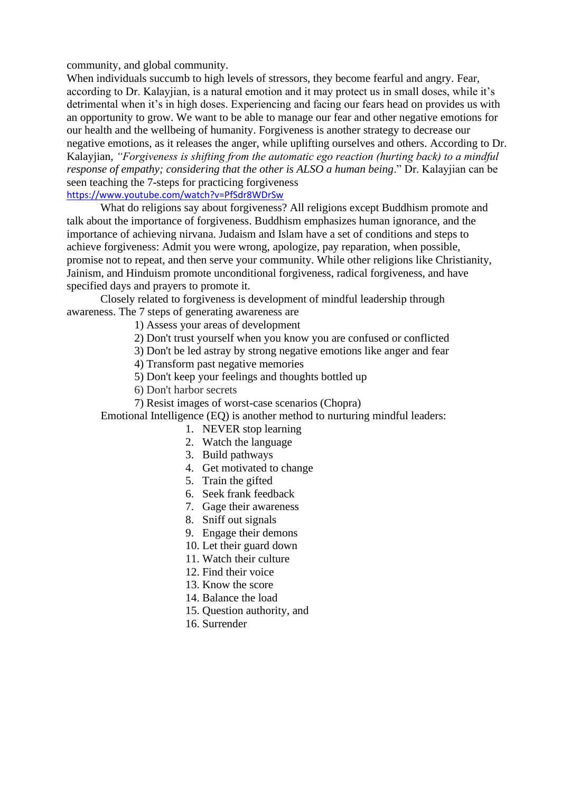community, and global community.

When individuals succumb to high levels of stressors, they become fearful and angry. Fear, according to Dr. Kalayjian, is a natural emotion and it may protect us in small doses, while it's detrimental when it's in high doses. Experiencing and facing our fears head on provides us with an opportunity to grow. We want to be able to manage our fear and other negative emotions for our health and the wellbeing of humanity. Forgiveness is another strategy to decrease our negative emotions, as it releases the anger, while uplifting ourselves and others. According to Dr. Kalayjian, *"Forgiveness is shifting from the automatic ego reaction (hurting back) to a mindful response of empathy; considering that the other is ALSO a human being*." Dr. Kalayjian can be seen teaching the 7-steps for practicing forgiveness <https://www.youtube.com/watch?v=PfSdr8WDrSw>

What do religions say about forgiveness? All religions except Buddhism promote and

talk about the importance of forgiveness. Buddhism emphasizes human ignorance, and the importance of achieving nirvana. Judaism and Islam have a set of conditions and steps to achieve forgiveness: Admit you were wrong, apologize, pay reparation, when possible, promise not to repeat, and then serve your community. While other religions like Christianity, Jainism, and Hinduism promote unconditional forgiveness, radical forgiveness, and have specified days and prayers to promote it.

Closely related to forgiveness is development of mindful leadership through awareness. The 7 steps of generating awareness are

1) Assess your areas of development

2) Don't trust yourself when you know you are confused or conflicted

3) Don't be led astray by strong negative emotions like anger and fear

4) Transform past negative memories

5) Don't keep your feelings and thoughts bottled up

- 6) Don't harbor secrets
- 7) Resist images of worst-case scenarios (Chopra)

Emotional Intelligence (EQ) is another method to nurturing mindful leaders:

- 1. NEVER stop learning
- 2. Watch the language
- 3. Build pathways
- 4. Get motivated to change
- 5. Train the gifted
- 6. Seek frank feedback
- 7. Gage their awareness
- 8. Sniff out signals
- 9. Engage their demons
- 10. Let their guard down
- 11. Watch their culture
- 12. Find their voice
- 13. Know the score
- 14. Balance the load
- 15. Question authority, and
- 16. Surrender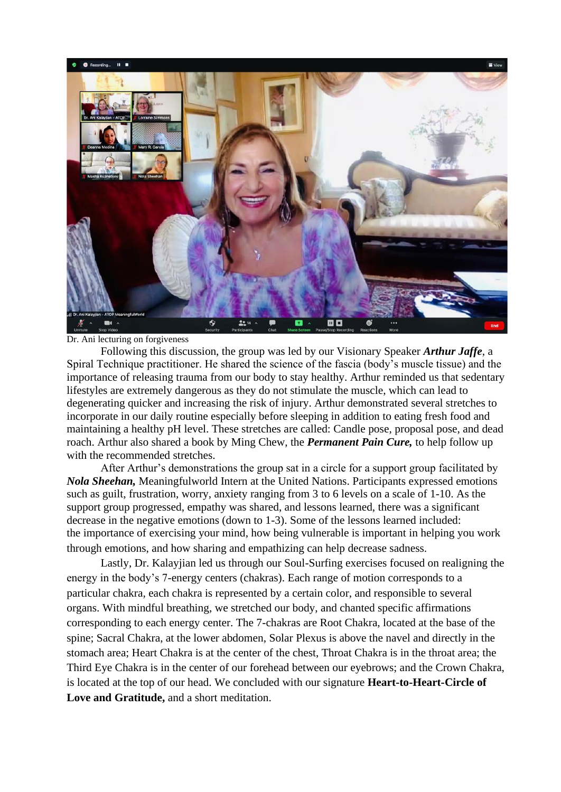

Dr. Ani lecturing on forgiveness

Following this discussion, the group was led by our Visionary Speaker *Arthur Jaffe*, a Spiral Technique practitioner. He shared the science of the fascia (body's muscle tissue) and the importance of releasing trauma from our body to stay healthy. Arthur reminded us that sedentary lifestyles are extremely dangerous as they do not stimulate the muscle, which can lead to degenerating quicker and increasing the risk of injury. Arthur demonstrated several stretches to incorporate in our daily routine especially before sleeping in addition to eating fresh food and maintaining a healthy pH level. These stretches are called: Candle pose, proposal pose, and dead roach. Arthur also shared a book by Ming Chew, the *Permanent Pain Cure,* to help follow up with the recommended stretches.

After Arthur's demonstrations the group sat in a circle for a support group facilitated by *Nola Sheehan,* Meaningfulworld Intern at the United Nations. Participants expressed emotions such as guilt, frustration, worry, anxiety ranging from 3 to 6 levels on a scale of 1-10. As the support group progressed, empathy was shared, and lessons learned, there was a significant decrease in the negative emotions (down to 1-3). Some of the lessons learned included: the importance of exercising your mind, how being vulnerable is important in helping you work through emotions, and how sharing and empathizing can help decrease sadness.

Lastly, Dr. Kalayjian led us through our Soul-Surfing exercises focused on realigning the energy in the body's 7-energy centers (chakras). Each range of motion corresponds to a particular chakra, each chakra is represented by a certain color, and responsible to several organs. With mindful breathing, we stretched our body, and chanted specific affirmations corresponding to each energy center. The 7-chakras are Root Chakra, located at the base of the spine; Sacral Chakra, at the lower abdomen, Solar Plexus is above the navel and directly in the stomach area; Heart Chakra is at the center of the chest, Throat Chakra is in the throat area; the Third Eye Chakra is in the center of our forehead between our eyebrows; and the Crown Chakra, is located at the top of our head. We concluded with our signature **Heart-to-Heart-Circle of Love and Gratitude,** and a short meditation.